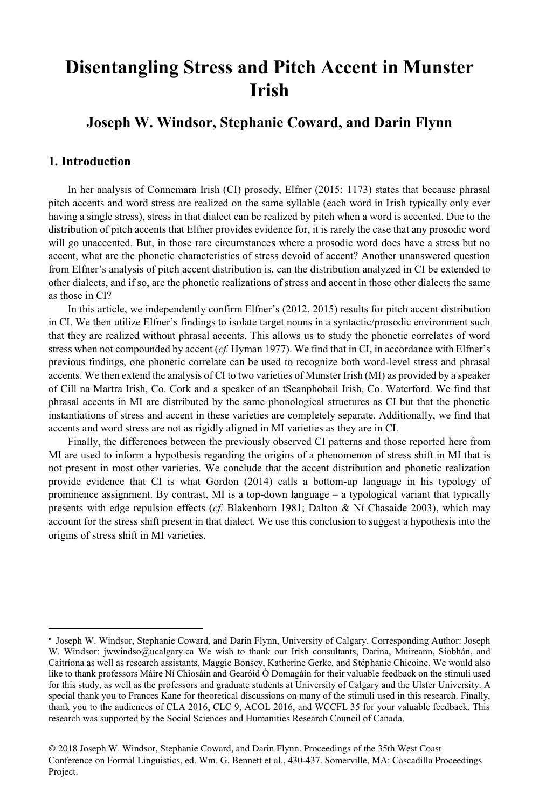# **Disentangling Stress and Pitch Accent in Munster Irish**

# **Joseph W. Windsor, Stephanie Coward, and Darin Flynn**

# **1. Introduction**

 $\overline{a}$ 

In her analysis of Connemara Irish (CI) prosody, Elfner (2015: 1173) states that because phrasal pitch accents and word stress are realized on the same syllable (each word in Irish typically only ever having a single stress), stress in that dialect can be realized by pitch when a word is accented. Due to the distribution of pitch accents that Elfner provides evidence for, it is rarely the case that any prosodic word will go unaccented. But, in those rare circumstances where a prosodic word does have a stress but no accent, what are the phonetic characteristics of stress devoid of accent? Another unanswered question from Elfner's analysis of pitch accent distribution is, can the distribution analyzed in CI be extended to other dialects, and if so, are the phonetic realizations of stress and accent in those other dialects the same as those in CI?

In this article, we independently confirm Elfner's (2012, 2015) results for pitch accent distribution in CI. We then utilize Elfner's findings to isolate target nouns in a syntactic/prosodic environment such that they are realized without phrasal accents. This allows us to study the phonetic correlates of word stress when not compounded by accent (*cf.* Hyman 1977). We find that in CI, in accordance with Elfner's previous findings, one phonetic correlate can be used to recognize both word-level stress and phrasal accents. We then extend the analysis of CI to two varieties of Munster Irish (MI) as provided by a speaker of Cill na Martra Irish, Co. Cork and a speaker of an tSeanphobail Irish, Co. Waterford. We find that phrasal accents in MI are distributed by the same phonological structures as CI but that the phonetic instantiations of stress and accent in these varieties are completely separate. Additionally, we find that accents and word stress are not as rigidly aligned in MI varieties as they are in CI.

Finally, the differences between the previously observed CI patterns and those reported here from MI are used to inform a hypothesis regarding the origins of a phenomenon of stress shift in MI that is not present in most other varieties. We conclude that the accent distribution and phonetic realization provide evidence that CI is what Gordon (2014) calls a bottom-up language in his typology of prominence assignment. By contrast, MI is a top-down language – a typological variant that typically presents with edge repulsion effects (*cf.* Blakenhorn 1981; Dalton & Ní Chasaide 2003), which may account for the stress shift present in that dialect. We use this conclusion to suggest a hypothesis into the origins of stress shift in MI varieties.

<sup>\*</sup> Joseph W. Windsor, Stephanie Coward, and Darin Flynn, University of Calgary. Corresponding Author: Joseph W. Windsor: jwwindso@ucalgary.ca We wish to thank our Irish consultants, Darina, Muireann, Siobhán, and Caitríona as well as research assistants, Maggie Bonsey, Katherine Gerke, and Stéphanie Chicoine. We would also like to thank professors Máire Ní Chiosáin and Gearóid Ó Domagáin for their valuable feedback on the stimuli used for this study, as well as the professors and graduate students at University of Calgary and the Ulster University. A special thank you to Frances Kane for theoretical discussions on many of the stimuli used in this research. Finally, thank you to the audiences of CLA 2016, CLC 9, ACOL 2016, and WCCFL 35 for your valuable feedback. This research was supported by the Social Sciences and Humanities Research Council of Canada.

<sup>© 2018</sup> Joseph W. Windsor, Stephanie Coward, and Darin Flynn. Proceedings of the 35th West Coast Conference on Formal Linguistics, ed. Wm. G. Bennett et al., 430-437. Somerville, MA: Cascadilla Proceedings Project.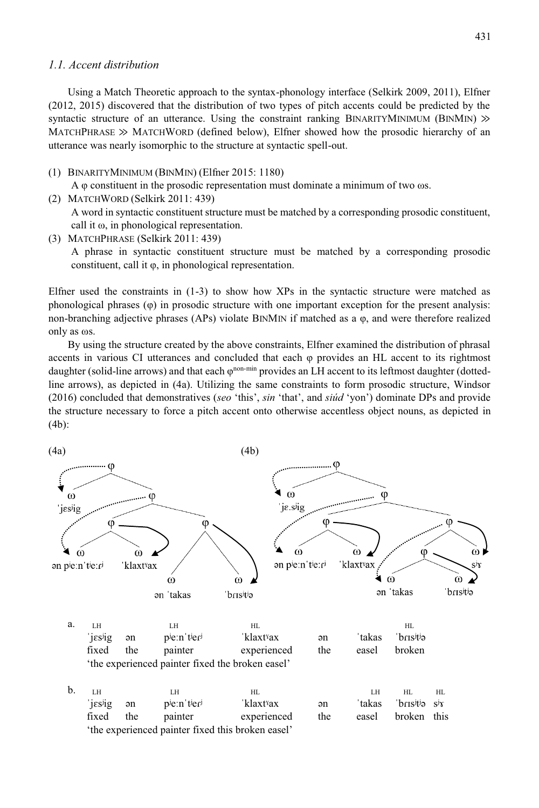#### *1.1. Accent distribution*

Using a Match Theoretic approach to the syntax-phonology interface (Selkirk 2009, 2011), Elfner (2012, 2015) discovered that the distribution of two types of pitch accents could be predicted by the syntactic structure of an utterance. Using the constraint ranking BINARITYMINIMUM (BINMIN)  $\gg$ MATCHPHRASE  $\gg$  MATCHWORD (defined below), Elfner showed how the prosodic hierarchy of an utterance was nearly isomorphic to the structure at syntactic spell-out.

(1) BINARITYMINIMUM (BINMIN) (Elfner 2015: 1180)

A φ constituent in the prosodic representation must dominate a minimum of two ωs.

- (2) MATCHWORD (Selkirk 2011: 439) A word in syntactic constituent structure must be matched by a corresponding prosodic constituent, call it ω, in phonological representation.
- (3) MATCHPHRASE (Selkirk 2011: 439)

A phrase in syntactic constituent structure must be matched by a corresponding prosodic constituent, call it φ, in phonological representation.

Elfner used the constraints in  $(1-3)$  to show how XPs in the syntactic structure were matched as phonological phrases (φ) in prosodic structure with one important exception for the present analysis: non-branching adjective phrases (APs) violate BINMIN if matched as a φ, and were therefore realized only as ωs.

By using the structure created by the above constraints, Elfner examined the distribution of phrasal accents in various CI utterances and concluded that each φ provides an HL accent to its rightmost daughter (solid-line arrows) and that each φnon-min provides an LH accent to its leftmost daughter (dottedline arrows), as depicted in (4a). Utilizing the same constraints to form prosodic structure, Windsor (2016) concluded that demonstratives (*seo* 'this', *sin* 'that', and *siúd* 'yon') dominate DPs and provide the structure necessary to force a pitch accent onto otherwise accentless object nouns, as depicted in (4b):

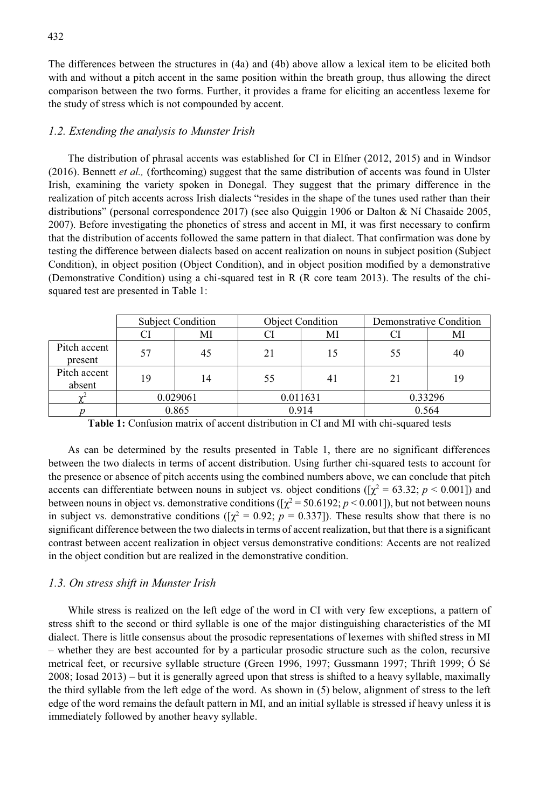The differences between the structures in (4a) and (4b) above allow a lexical item to be elicited both with and without a pitch accent in the same position within the breath group, thus allowing the direct comparison between the two forms. Further, it provides a frame for eliciting an accentless lexeme for the study of stress which is not compounded by accent.

#### *1.2. Extending the analysis to Munster Irish*

The distribution of phrasal accents was established for CI in Elfner (2012, 2015) and in Windsor (2016). Bennett *et al.,* (forthcoming) suggest that the same distribution of accents was found in Ulster Irish, examining the variety spoken in Donegal. They suggest that the primary difference in the realization of pitch accents across Irish dialects "resides in the shape of the tunes used rather than their distributions" (personal correspondence 2017) (see also Quiggin 1906 or Dalton & Ní Chasaide 2005, 2007). Before investigating the phonetics of stress and accent in MI, it was first necessary to confirm that the distribution of accents followed the same pattern in that dialect. That confirmation was done by testing the difference between dialects based on accent realization on nouns in subject position (Subject Condition), in object position (Object Condition), and in object position modified by a demonstrative (Demonstrative Condition) using a chi-squared test in R (R core team 2013). The results of the chisquared test are presented in Table 1:

|                         | <b>Subject Condition</b> |       | <b>Object Condition</b> |       | Demonstrative Condition |       |
|-------------------------|--------------------------|-------|-------------------------|-------|-------------------------|-------|
|                         | Cì                       | MI    |                         | MI    |                         | Ml    |
| Pitch accent<br>present | 57                       | 45    | 21                      | 15    | 55                      | 40    |
| Pitch accent<br>absent  | 19                       | 14    | 55                      | 41    | 21                      | 19    |
|                         | 0.029061                 |       | 0.011631                |       | 0.33296                 |       |
|                         |                          | 0.865 |                         | 0.914 |                         | 0.564 |

**Table 1:** Confusion matrix of accent distribution in CI and MI with chi-squared tests

As can be determined by the results presented in Table 1, there are no significant differences between the two dialects in terms of accent distribution. Using further chi-squared tests to account for the presence or absence of pitch accents using the combined numbers above, we can conclude that pitch accents can differentiate between nouns in subject vs. object conditions ( $[\chi^2 = 63.32; p \le 0.001]$ ) and between nouns in object vs. demonstrative conditions ( $[\chi^2 = 50.6192; p \lt 0.001]$ ), but not between nouns in subject vs. demonstrative conditions ( $[\chi^2 = 0.92; p = 0.337]$ ). These results show that there is no significant difference between the two dialects in terms of accent realization, but that there is a significant contrast between accent realization in object versus demonstrative conditions: Accents are not realized in the object condition but are realized in the demonstrative condition.

#### *1.3. On stress shift in Munster Irish*

While stress is realized on the left edge of the word in CI with very few exceptions, a pattern of stress shift to the second or third syllable is one of the major distinguishing characteristics of the MI dialect. There is little consensus about the prosodic representations of lexemes with shifted stress in MI – whether they are best accounted for by a particular prosodic structure such as the colon, recursive metrical feet, or recursive syllable structure (Green 1996, 1997; Gussmann 1997; Thrift 1999; Ó Sé 2008; Iosad 2013) – but it is generally agreed upon that stress is shifted to a heavy syllable, maximally the third syllable from the left edge of the word. As shown in (5) below, alignment of stress to the left edge of the word remains the default pattern in MI, and an initial syllable is stressed if heavy unless it is immediately followed by another heavy syllable.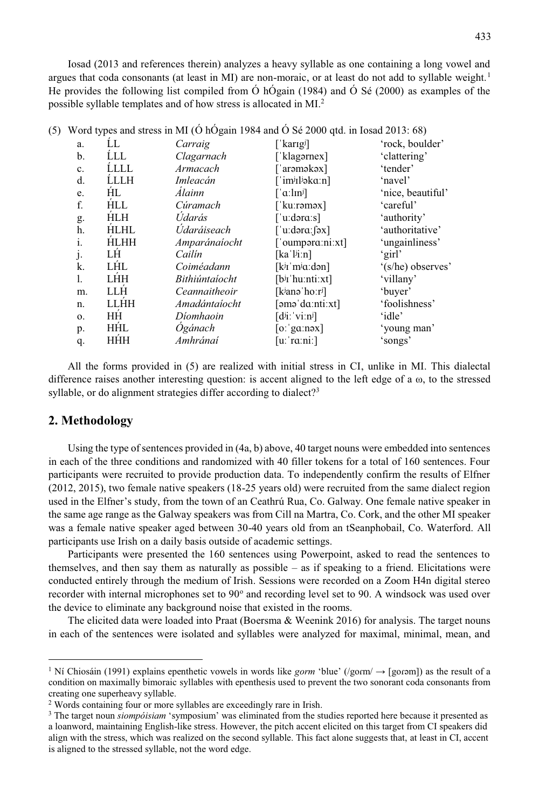Iosad (2013 and references therein) analyzes a heavy syllable as one containing a long vowel and argues that coda consonants (at least in MI) are non-moraic, or at least do not add to syllable weight.<sup>1</sup> He provides the following list compiled from Ó hÓgain (1984) and Ó Sé (2000) as examples of the possible syllable templates and of how stress is allocated in MI.2

|    | . .         |                |                                        |                   |
|----|-------------|----------------|----------------------------------------|-------------------|
| a. | ĹL          | Carraig        | [ˈkarıgʲ]                              | 'rock, boulder'   |
| b. | <b>LLL</b>  | Clagarnach     | [ˈklagərnex]                           | 'clattering'      |
| c. | <b>LLLL</b> | Armacach       | [ˈarəməkəx]                            | 'tender'          |
| d. | ĹLLH        | Imleacán       | [ˈimʲɪlʲəkaːn]                         | 'navel'           |
| e. | ĤL          | Álainn         | $\lceil \alpha \cdot \ln \eta \rceil$  | 'nice, beautiful' |
| f. | <b>HLL</b>  | Cúramach       | ['kuːrəməx]                            | 'careful'         |
| g. | <b>HLH</b>  | Údarás         | ['uːdəraːs]                            | 'authority'       |
| h. | <b>HLHL</b> | Údaráiseach    | ['uːdəraːfəx]                          | 'authoritative'   |
| i. | <b>HLHH</b> | Amparánaíocht  | ['oumpara:ni:xt]                       | 'ungainliness'    |
| j. | LH          | Cailín         | $\lceil ka'l^{j}i:n \rceil$            | 'girl'            |
| k. | LĤL         | Coiméadann     | [k <sup>j</sup> 1'm <sup>j</sup> a:dn] | '(s/he) observes' |
| 1. | LHH         | Bithiúntaíocht | $[bj$ r'hu:nti:xt]                     | 'villany'         |
| m. | LLH         | Ceannaitheoir  | [kʲanəˈhoːrʲ]                          | 'buyer'           |
| n. | <b>LLHH</b> | Amadántaíocht  | [əməˈdɑːntiːxt]                        | 'foolishness'     |
| 0. | HĤ          | Díomhaoin      | $[d^{j}i]'$ vi:n <sup>j</sup>          | 'idle'            |
| p. | <b>HHL</b>  | Ógánach        | $\lceil$ o: 'ga:nəx]                   | 'young man'       |
| q. | HĤH         | Amhránaí       | [uːˈrɑːniː]                            | 'songs'           |
|    |             |                |                                        |                   |

(5) Word types and stress in MI (Ó hÓgain 1984 and Ó Sé 2000 qtd. in Iosad 2013: 68)

All the forms provided in (5) are realized with initial stress in CI, unlike in MI. This dialectal difference raises another interesting question: is accent aligned to the left edge of a  $\omega$ , to the stressed syllable, or do alignment strategies differ according to dialect?<sup>3</sup>

### **2. Methodology**

 $\overline{a}$ 

Using the type of sentences provided in (4a, b) above, 40 target nouns were embedded into sentences in each of the three conditions and randomized with 40 filler tokens for a total of 160 sentences. Four participants were recruited to provide production data. To independently confirm the results of Elfner (2012, 2015), two female native speakers (18-25 years old) were recruited from the same dialect region used in the Elfner's study, from the town of an Ceathrú Rua, Co. Galway. One female native speaker in the same age range as the Galway speakers was from Cill na Martra, Co. Cork, and the other MI speaker was a female native speaker aged between 30-40 years old from an tSeanphobail, Co. Waterford. All participants use Irish on a daily basis outside of academic settings.

Participants were presented the 160 sentences using Powerpoint, asked to read the sentences to themselves, and then say them as naturally as possible – as if speaking to a friend. Elicitations were conducted entirely through the medium of Irish. Sessions were recorded on a Zoom H4n digital stereo recorder with internal microphones set to 90° and recording level set to 90. A windsock was used over the device to eliminate any background noise that existed in the rooms.

The elicited data were loaded into Praat (Boersma  $\&$  Weenink 2016) for analysis. The target nouns in each of the sentences were isolated and syllables were analyzed for maximal, minimal, mean, and

<sup>&</sup>lt;sup>1</sup> Ní Chiosáin (1991) explains epenthetic vowels in words like *gorm* 'blue' (/gorm/  $\rightarrow$  [gorəm]) as the result of a condition on maximally bimoraic syllables with epenthesis used to prevent the two sonorant coda consonants from creating one superheavy syllable.

<sup>2</sup> Words containing four or more syllables are exceedingly rare in Irish.

<sup>3</sup> The target noun *siompóisiam* 'symposium' was eliminated from the studies reported here because it presented as a loanword, maintaining English-like stress. However, the pitch accent elicited on this target from CI speakers did align with the stress, which was realized on the second syllable. This fact alone suggests that, at least in CI, accent is aligned to the stressed syllable, not the word edge.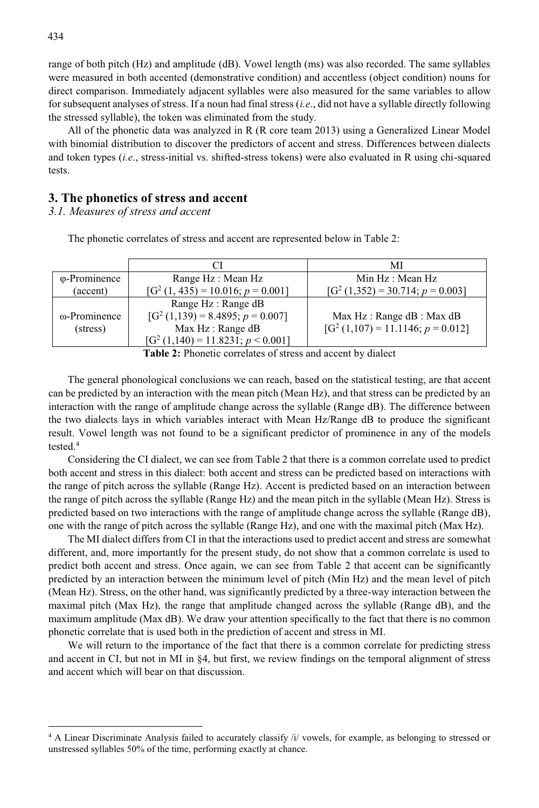range of both pitch (Hz) and amplitude (dB). Vowel length (ms) was also recorded. The same syllables were measured in both accented (demonstrative condition) and accentless (object condition) nouns for direct comparison. Immediately adjacent syllables were also measured for the same variables to allow for subsequent analyses of stress. If a noun had final stress (*i.e*., did not have a syllable directly following the stressed syllable), the token was eliminated from the study.

All of the phonetic data was analyzed in R (R core team 2013) using a Generalized Linear Model with binomial distribution to discover the predictors of accent and stress. Differences between dialects and token types (*i.e*., stress-initial vs. shifted-stress tokens) were also evaluated in R using chi-squared tests.

#### **3. The phonetics of stress and accent**

*3.1. Measures of stress and accent*

|                       | CI                                 | МI                                 |
|-----------------------|------------------------------------|------------------------------------|
| $\varphi$ -Prominence | Range Hz: Mean Hz                  | Min Hz: Mean Hz                    |
| (accent)              | $[G2(1, 435) = 10.016; p = 0.001]$ | $[G2(1,352) = 30.714; p = 0.003]$  |
|                       | Range Hz : Range dB                |                                    |
| ω-Prominence          | $[G2(1,139) = 8.4895; p = 0.007]$  | Max Hz: Range dB: Max dB           |
| (stress)              | Max Hz: Range dB                   | $[G2(1,107) = 11.1146; p = 0.012]$ |
|                       | $[G2(1,140) = 11.8231; p < 0.001]$ |                                    |

The phonetic correlates of stress and accent are represented below in Table 2:

**Table 2:** Phonetic correlates of stress and accent by dialect

The general phonological conclusions we can reach, based on the statistical testing, are that accent can be predicted by an interaction with the mean pitch (Mean Hz), and that stress can be predicted by an interaction with the range of amplitude change across the syllable (Range dB). The difference between the two dialects lays in which variables interact with Mean Hz/Range dB to produce the significant result. Vowel length was not found to be a significant predictor of prominence in any of the models tested.4

Considering the CI dialect, we can see from Table 2 that there is a common correlate used to predict both accent and stress in this dialect: both accent and stress can be predicted based on interactions with the range of pitch across the syllable (Range Hz). Accent is predicted based on an interaction between the range of pitch across the syllable (Range Hz) and the mean pitch in the syllable (Mean Hz). Stress is predicted based on two interactions with the range of amplitude change across the syllable (Range dB), one with the range of pitch across the syllable (Range Hz), and one with the maximal pitch (Max Hz).

The MI dialect differs from CI in that the interactions used to predict accent and stress are somewhat different, and, more importantly for the present study, do not show that a common correlate is used to predict both accent and stress. Once again, we can see from Table 2 that accent can be significantly predicted by an interaction between the minimum level of pitch (Min Hz) and the mean level of pitch (Mean Hz). Stress, on the other hand, was significantly predicted by a three-way interaction between the maximal pitch (Max Hz), the range that amplitude changed across the syllable (Range dB), and the maximum amplitude (Max dB). We draw your attention specifically to the fact that there is no common phonetic correlate that is used both in the prediction of accent and stress in MI.

We will return to the importance of the fact that there is a common correlate for predicting stress and accent in CI, but not in MI in §4, but first, we review findings on the temporal alignment of stress and accent which will bear on that discussion.

 $\overline{a}$ 

<sup>&</sup>lt;sup>4</sup> A Linear Discriminate Analysis failed to accurately classify /i/ yowels, for example, as belonging to stressed or unstressed syllables 50% of the time, performing exactly at chance.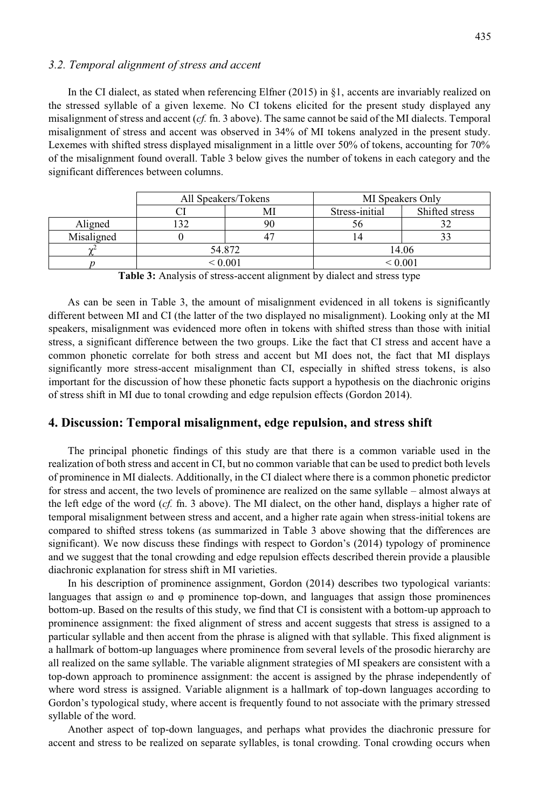#### *3.2. Temporal alignment of stress and accent*

In the CI dialect, as stated when referencing Elfner (2015) in §1, accents are invariably realized on the stressed syllable of a given lexeme. No CI tokens elicited for the present study displayed any misalignment of stress and accent (*cf.* fn. 3 above). The same cannot be said of the MI dialects. Temporal misalignment of stress and accent was observed in 34% of MI tokens analyzed in the present study. Lexemes with shifted stress displayed misalignment in a little over 50% of tokens, accounting for 70% of the misalignment found overall. Table 3 below gives the number of tokens in each category and the significant differences between columns.

|            | All Speakers/Tokens |  | MI Speakers Only |                |  |
|------------|---------------------|--|------------------|----------------|--|
|            |                     |  | Stress-initial   | Shifted stress |  |
| Aligned    |                     |  |                  |                |  |
| Misaligned |                     |  |                  |                |  |
| $\sim$     | 54.872              |  | 14.06            |                |  |
|            | < 0.001             |  | ${}^{< 0.001}$   |                |  |

**Table 3:** Analysis of stress-accent alignment by dialect and stress type

As can be seen in Table 3, the amount of misalignment evidenced in all tokens is significantly different between MI and CI (the latter of the two displayed no misalignment). Looking only at the MI speakers, misalignment was evidenced more often in tokens with shifted stress than those with initial stress, a significant difference between the two groups. Like the fact that CI stress and accent have a common phonetic correlate for both stress and accent but MI does not, the fact that MI displays significantly more stress-accent misalignment than CI, especially in shifted stress tokens, is also important for the discussion of how these phonetic facts support a hypothesis on the diachronic origins of stress shift in MI due to tonal crowding and edge repulsion effects (Gordon 2014).

#### **4. Discussion: Temporal misalignment, edge repulsion, and stress shift**

The principal phonetic findings of this study are that there is a common variable used in the realization of both stress and accent in CI, but no common variable that can be used to predict both levels of prominence in MI dialects. Additionally, in the CI dialect where there is a common phonetic predictor for stress and accent, the two levels of prominence are realized on the same syllable – almost always at the left edge of the word (*cf.* fn. 3 above). The MI dialect, on the other hand, displays a higher rate of temporal misalignment between stress and accent, and a higher rate again when stress-initial tokens are compared to shifted stress tokens (as summarized in Table 3 above showing that the differences are significant). We now discuss these findings with respect to Gordon's (2014) typology of prominence and we suggest that the tonal crowding and edge repulsion effects described therein provide a plausible diachronic explanation for stress shift in MI varieties.

In his description of prominence assignment, Gordon (2014) describes two typological variants: languages that assign  $\omega$  and  $\varphi$  prominence top-down, and languages that assign those prominences bottom-up. Based on the results of this study, we find that CI is consistent with a bottom-up approach to prominence assignment: the fixed alignment of stress and accent suggests that stress is assigned to a particular syllable and then accent from the phrase is aligned with that syllable. This fixed alignment is a hallmark of bottom-up languages where prominence from several levels of the prosodic hierarchy are all realized on the same syllable. The variable alignment strategies of MI speakers are consistent with a top-down approach to prominence assignment: the accent is assigned by the phrase independently of where word stress is assigned. Variable alignment is a hallmark of top-down languages according to Gordon's typological study, where accent is frequently found to not associate with the primary stressed syllable of the word.

Another aspect of top-down languages, and perhaps what provides the diachronic pressure for accent and stress to be realized on separate syllables, is tonal crowding. Tonal crowding occurs when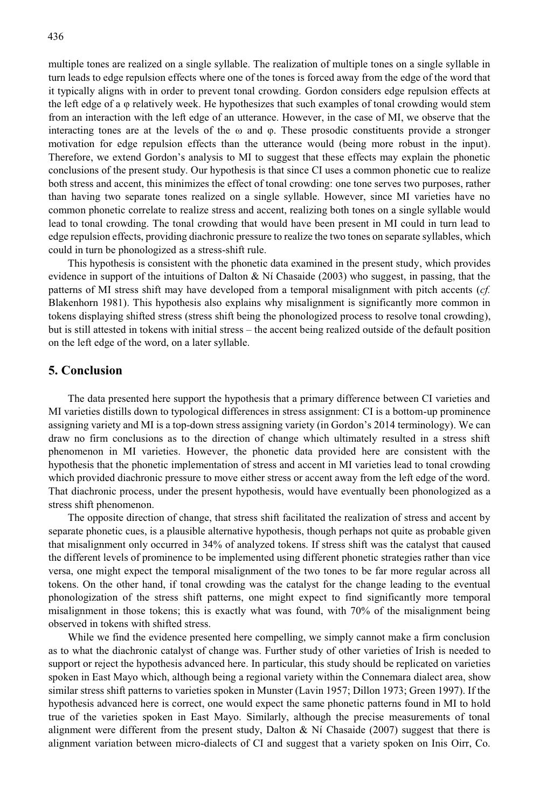multiple tones are realized on a single syllable. The realization of multiple tones on a single syllable in turn leads to edge repulsion effects where one of the tones is forced away from the edge of the word that it typically aligns with in order to prevent tonal crowding. Gordon considers edge repulsion effects at the left edge of a φ relatively week. He hypothesizes that such examples of tonal crowding would stem from an interaction with the left edge of an utterance. However, in the case of MI, we observe that the interacting tones are at the levels of the  $\omega$  and  $\varphi$ . These prosodic constituents provide a stronger motivation for edge repulsion effects than the utterance would (being more robust in the input). Therefore, we extend Gordon's analysis to MI to suggest that these effects may explain the phonetic conclusions of the present study. Our hypothesis is that since CI uses a common phonetic cue to realize both stress and accent, this minimizes the effect of tonal crowding: one tone serves two purposes, rather than having two separate tones realized on a single syllable. However, since MI varieties have no common phonetic correlate to realize stress and accent, realizing both tones on a single syllable would lead to tonal crowding. The tonal crowding that would have been present in MI could in turn lead to edge repulsion effects, providing diachronic pressure to realize the two tones on separate syllables, which could in turn be phonologized as a stress-shift rule.

This hypothesis is consistent with the phonetic data examined in the present study, which provides evidence in support of the intuitions of Dalton  $\&$  Ní Chasaide (2003) who suggest, in passing, that the patterns of MI stress shift may have developed from a temporal misalignment with pitch accents (*cf.* Blakenhorn 1981). This hypothesis also explains why misalignment is significantly more common in tokens displaying shifted stress (stress shift being the phonologized process to resolve tonal crowding), but is still attested in tokens with initial stress – the accent being realized outside of the default position on the left edge of the word, on a later syllable.

### **5. Conclusion**

The data presented here support the hypothesis that a primary difference between CI varieties and MI varieties distills down to typological differences in stress assignment: CI is a bottom-up prominence assigning variety and MI is a top-down stress assigning variety (in Gordon's 2014 terminology). We can draw no firm conclusions as to the direction of change which ultimately resulted in a stress shift phenomenon in MI varieties. However, the phonetic data provided here are consistent with the hypothesis that the phonetic implementation of stress and accent in MI varieties lead to tonal crowding which provided diachronic pressure to move either stress or accent away from the left edge of the word. That diachronic process, under the present hypothesis, would have eventually been phonologized as a stress shift phenomenon.

The opposite direction of change, that stress shift facilitated the realization of stress and accent by separate phonetic cues, is a plausible alternative hypothesis, though perhaps not quite as probable given that misalignment only occurred in 34% of analyzed tokens. If stress shift was the catalyst that caused the different levels of prominence to be implemented using different phonetic strategies rather than vice versa, one might expect the temporal misalignment of the two tones to be far more regular across all tokens. On the other hand, if tonal crowding was the catalyst for the change leading to the eventual phonologization of the stress shift patterns, one might expect to find significantly more temporal misalignment in those tokens; this is exactly what was found, with 70% of the misalignment being observed in tokens with shifted stress.

While we find the evidence presented here compelling, we simply cannot make a firm conclusion as to what the diachronic catalyst of change was. Further study of other varieties of Irish is needed to support or reject the hypothesis advanced here. In particular, this study should be replicated on varieties spoken in East Mayo which, although being a regional variety within the Connemara dialect area, show similar stress shift patterns to varieties spoken in Munster (Lavin 1957; Dillon 1973; Green 1997). If the hypothesis advanced here is correct, one would expect the same phonetic patterns found in MI to hold true of the varieties spoken in East Mayo. Similarly, although the precise measurements of tonal alignment were different from the present study, Dalton & Ní Chasaide (2007) suggest that there is alignment variation between micro-dialects of CI and suggest that a variety spoken on Inis Oirr, Co.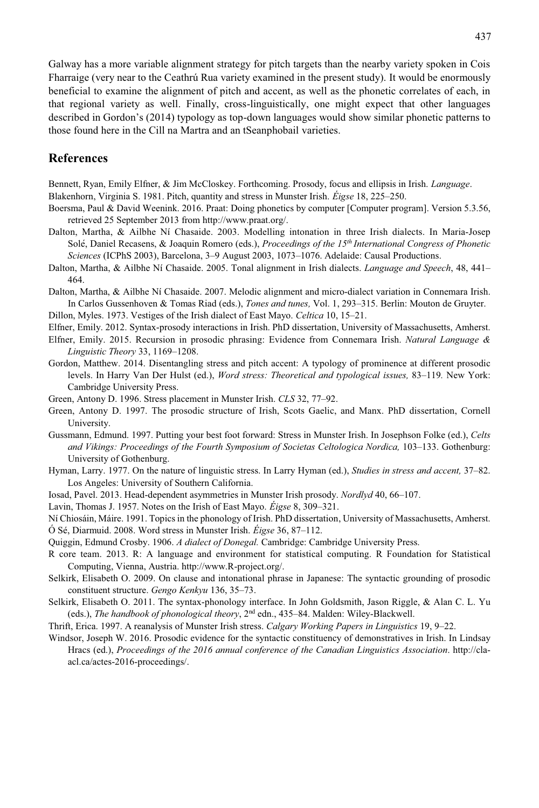Galway has a more variable alignment strategy for pitch targets than the nearby variety spoken in Cois Fharraige (very near to the Ceathrú Rua variety examined in the present study). It would be enormously beneficial to examine the alignment of pitch and accent, as well as the phonetic correlates of each, in that regional variety as well. Finally, cross-linguistically, one might expect that other languages described in Gordon's (2014) typology as top-down languages would show similar phonetic patterns to those found here in the Cill na Martra and an tSeanphobail varieties.

## **References**

Bennett, Ryan, Emily Elfner, & Jim McCloskey. Forthcoming. Prosody, focus and ellipsis in Irish. *Language*.

Blakenhorn, Virginia S. 1981. Pitch, quantity and stress in Munster Irish. *Éigse* 18, 225–250.

- Boersma, Paul & David Weenink. 2016. Praat: Doing phonetics by computer [Computer program]. Version 5.3.56, retrieved 25 September 2013 from http://www.praat.org/.
- Dalton, Martha, & Ailbhe Ní Chasaide. 2003. Modelling intonation in three Irish dialects. In Maria-Josep Sole, Daniel Recasens, & Joaquin Romero (eds.), *Proceedings of the 15th* ́ *International Congress of Phonetic Sciences* (ICPhS 2003), Barcelona, 3–9 August 2003, 1073–1076. Adelaide: Causal Productions.
- Dalton, Martha, & Ailbhe Ní Chasaide. 2005. Tonal alignment in Irish dialects. *Language and Speech*, 48, 441– 464.
- Dalton, Martha, & Ailbhe Ní Chasaide. 2007. Melodic alignment and micro-dialect variation in Connemara Irish. In Carlos Gussenhoven & Tomas Riad (eds.), *Tones and tunes,* Vol. 1, 293–315. Berlin: Mouton de Gruyter.

Dillon, Myles. 1973. Vestiges of the Irish dialect of East Mayo. *Celtica* 10, 15–21.

- Elfner, Emily. 2012. Syntax-prosody interactions in Irish. PhD dissertation, University of Massachusetts, Amherst.
- Elfner, Emily. 2015. Recursion in prosodic phrasing: Evidence from Connemara Irish. *Natural Language & Linguistic Theory* 33, 1169–1208.
- Gordon, Matthew. 2014. Disentangling stress and pitch accent: A typology of prominence at different prosodic levels. In Harry Van Der Hulst (ed.), *Word stress: Theoretical and typological issues,* 83–119*.* New York: Cambridge University Press.

Green, Antony D. 1996. Stress placement in Munster Irish. *CLS* 32, 77–92.

- Green, Antony D. 1997. The prosodic structure of Irish, Scots Gaelic, and Manx. PhD dissertation, Cornell University.
- Gussmann, Edmund. 1997. Putting your best foot forward: Stress in Munster Irish. In Josephson Folke (ed.), *Celts and Vikings: Proceedings of the Fourth Symposium of Societas Celtologica Nordica,* 103–133. Gothenburg: University of Gothenburg.
- Hyman, Larry. 1977. On the nature of linguistic stress. In Larry Hyman (ed.), *Studies in stress and accent,* 37–82. Los Angeles: University of Southern California.
- Iosad, Pavel. 2013. Head-dependent asymmetries in Munster Irish prosody. *Nordlyd* 40, 66–107.

Lavin, Thomas J. 1957. Notes on the Irish of East Mayo. *Éigse* 8, 309–321.

Ní Chiosáin, Máire. 1991. Topics in the phonology of Irish. PhD dissertation, University of Massachusetts, Amherst.

Ó Sé, Diarmuid. 2008. Word stress in Munster Irish. *Éigse* 36, 87–112.

Quiggin, Edmund Crosby. 1906. *A dialect of Donegal.* Cambridge: Cambridge University Press.

- R core team. 2013. R: A language and environment for statistical computing. R Foundation for Statistical Computing, Vienna, Austria. http://www.R-project.org/.
- Selkirk, Elisabeth O. 2009. On clause and intonational phrase in Japanese: The syntactic grounding of prosodic constituent structure. *Gengo Kenkyu* 136, 35–73.
- Selkirk, Elisabeth O. 2011. The syntax-phonology interface. In John Goldsmith, Jason Riggle, & Alan C. L. Yu (eds.), *The handbook of phonological theory*, 2nd edn., 435–84. Malden: Wiley-Blackwell.
- Thrift, Erica. 1997. A reanalysis of Munster Irish stress. *Calgary Working Papers in Linguistics* 19, 9–22.
- Windsor, Joseph W. 2016. Prosodic evidence for the syntactic constituency of demonstratives in Irish. In Lindsay Hracs (ed.), *Proceedings of the 2016 annual conference of the Canadian Linguistics Association*. http://claacl.ca/actes-2016-proceedings/.